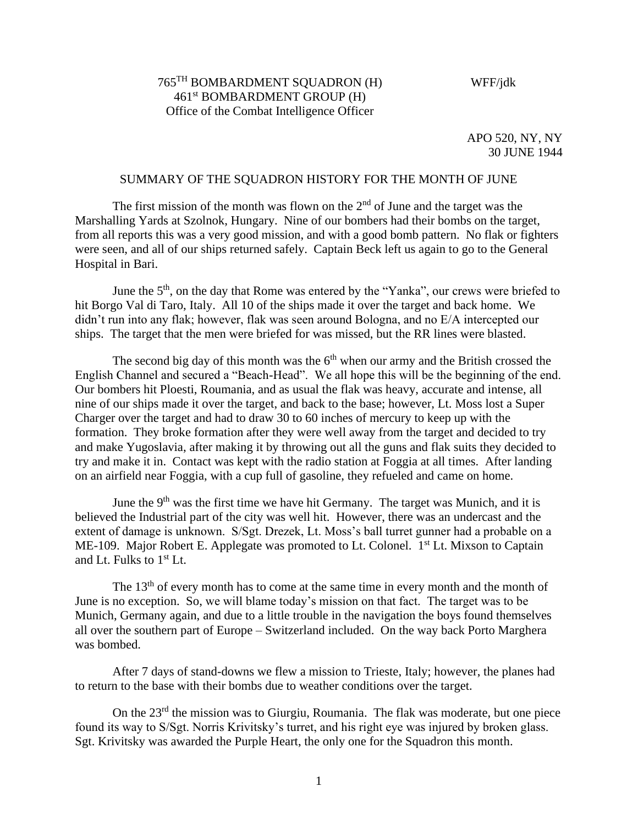# 765TH BOMBARDMENT SQUADRON (H) 461st BOMBARDMENT GROUP (H) Office of the Combat Intelligence Officer

#### WFF/jdk

APO 520, NY, NY 30 JUNE 1944

#### SUMMARY OF THE SQUADRON HISTORY FOR THE MONTH OF JUNE

The first mission of the month was flown on the  $2<sup>nd</sup>$  of June and the target was the Marshalling Yards at Szolnok, Hungary. Nine of our bombers had their bombs on the target, from all reports this was a very good mission, and with a good bomb pattern. No flak or fighters were seen, and all of our ships returned safely. Captain Beck left us again to go to the General Hospital in Bari.

June the  $5<sup>th</sup>$ , on the day that Rome was entered by the "Yanka", our crews were briefed to hit Borgo Val di Taro, Italy. All 10 of the ships made it over the target and back home. We didn't run into any flak; however, flak was seen around Bologna, and no E/A intercepted our ships. The target that the men were briefed for was missed, but the RR lines were blasted.

The second big day of this month was the  $6<sup>th</sup>$  when our army and the British crossed the English Channel and secured a "Beach-Head". We all hope this will be the beginning of the end. Our bombers hit Ploesti, Roumania, and as usual the flak was heavy, accurate and intense, all nine of our ships made it over the target, and back to the base; however, Lt. Moss lost a Super Charger over the target and had to draw 30 to 60 inches of mercury to keep up with the formation. They broke formation after they were well away from the target and decided to try and make Yugoslavia, after making it by throwing out all the guns and flak suits they decided to try and make it in. Contact was kept with the radio station at Foggia at all times. After landing on an airfield near Foggia, with a cup full of gasoline, they refueled and came on home.

June the  $9<sup>th</sup>$  was the first time we have hit Germany. The target was Munich, and it is believed the Industrial part of the city was well hit. However, there was an undercast and the extent of damage is unknown. S/Sgt. Drezek, Lt. Moss's ball turret gunner had a probable on a ME-109. Major Robert E. Applegate was promoted to Lt. Colonel. 1<sup>st</sup> Lt. Mixson to Captain and Lt. Fulks to 1st Lt.

The  $13<sup>th</sup>$  of every month has to come at the same time in every month and the month of June is no exception. So, we will blame today's mission on that fact. The target was to be Munich, Germany again, and due to a little trouble in the navigation the boys found themselves all over the southern part of Europe – Switzerland included. On the way back Porto Marghera was bombed.

After 7 days of stand-downs we flew a mission to Trieste, Italy; however, the planes had to return to the base with their bombs due to weather conditions over the target.

On the  $23<sup>rd</sup>$  the mission was to Giurgiu, Roumania. The flak was moderate, but one piece found its way to S/Sgt. Norris Krivitsky's turret, and his right eye was injured by broken glass. Sgt. Krivitsky was awarded the Purple Heart, the only one for the Squadron this month.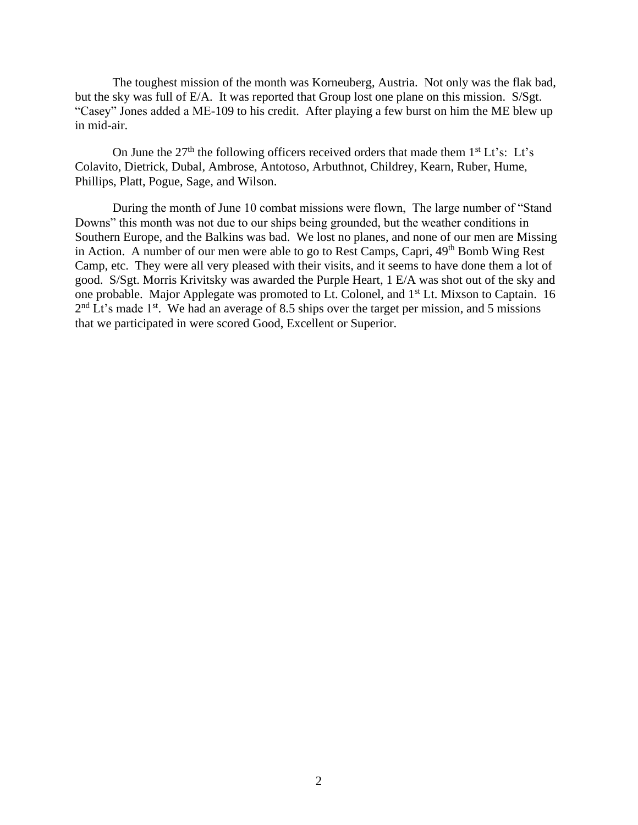The toughest mission of the month was Korneuberg, Austria. Not only was the flak bad, but the sky was full of E/A. It was reported that Group lost one plane on this mission. S/Sgt. "Casey" Jones added a ME-109 to his credit. After playing a few burst on him the ME blew up in mid-air.

On June the  $27<sup>th</sup>$  the following officers received orders that made them  $1<sup>st</sup> Lt's$ : Lt's Colavito, Dietrick, Dubal, Ambrose, Antotoso, Arbuthnot, Childrey, Kearn, Ruber, Hume, Phillips, Platt, Pogue, Sage, and Wilson.

During the month of June 10 combat missions were flown, The large number of "Stand Downs" this month was not due to our ships being grounded, but the weather conditions in Southern Europe, and the Balkins was bad. We lost no planes, and none of our men are Missing in Action. A number of our men were able to go to Rest Camps, Capri,  $49<sup>th</sup>$  Bomb Wing Rest Camp, etc. They were all very pleased with their visits, and it seems to have done them a lot of good. S/Sgt. Morris Krivitsky was awarded the Purple Heart, 1 E/A was shot out of the sky and one probable. Major Applegate was promoted to Lt. Colonel, and 1<sup>st</sup> Lt. Mixson to Captain. 16  $2<sup>nd</sup>$  Lt's made 1<sup>st</sup>. We had an average of 8.5 ships over the target per mission, and 5 missions that we participated in were scored Good, Excellent or Superior.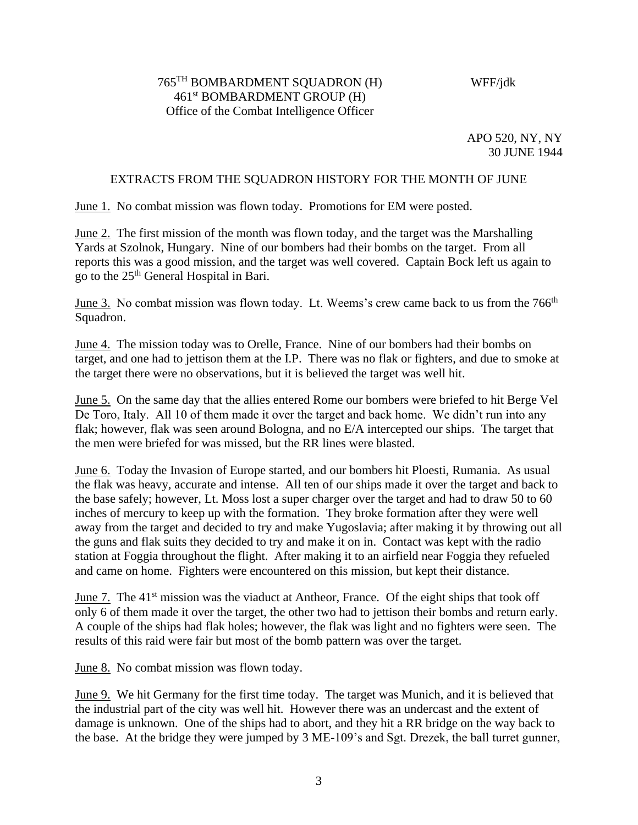## 765TH BOMBARDMENT SQUADRON (H) 461st BOMBARDMENT GROUP (H) Office of the Combat Intelligence Officer

## WFF/jdk

APO 520, NY, NY 30 JUNE 1944

### EXTRACTS FROM THE SQUADRON HISTORY FOR THE MONTH OF JUNE

June 1. No combat mission was flown today. Promotions for EM were posted.

June 2. The first mission of the month was flown today, and the target was the Marshalling Yards at Szolnok, Hungary. Nine of our bombers had their bombs on the target. From all reports this was a good mission, and the target was well covered. Captain Bock left us again to go to the 25th General Hospital in Bari.

June 3. No combat mission was flown today. Lt. Weems's crew came back to us from the 766<sup>th</sup> Squadron.

June 4. The mission today was to Orelle, France. Nine of our bombers had their bombs on target, and one had to jettison them at the I.P. There was no flak or fighters, and due to smoke at the target there were no observations, but it is believed the target was well hit.

June 5. On the same day that the allies entered Rome our bombers were briefed to hit Berge Vel De Toro, Italy. All 10 of them made it over the target and back home. We didn't run into any flak; however, flak was seen around Bologna, and no E/A intercepted our ships. The target that the men were briefed for was missed, but the RR lines were blasted.

June 6. Today the Invasion of Europe started, and our bombers hit Ploesti, Rumania. As usual the flak was heavy, accurate and intense. All ten of our ships made it over the target and back to the base safely; however, Lt. Moss lost a super charger over the target and had to draw 50 to 60 inches of mercury to keep up with the formation. They broke formation after they were well away from the target and decided to try and make Yugoslavia; after making it by throwing out all the guns and flak suits they decided to try and make it on in. Contact was kept with the radio station at Foggia throughout the flight. After making it to an airfield near Foggia they refueled and came on home. Fighters were encountered on this mission, but kept their distance.

June 7. The 41<sup>st</sup> mission was the viaduct at Antheor, France. Of the eight ships that took off only 6 of them made it over the target, the other two had to jettison their bombs and return early. A couple of the ships had flak holes; however, the flak was light and no fighters were seen. The results of this raid were fair but most of the bomb pattern was over the target.

June 8. No combat mission was flown today.

June 9. We hit Germany for the first time today. The target was Munich, and it is believed that the industrial part of the city was well hit. However there was an undercast and the extent of damage is unknown. One of the ships had to abort, and they hit a RR bridge on the way back to the base. At the bridge they were jumped by 3 ME-109's and Sgt. Drezek, the ball turret gunner,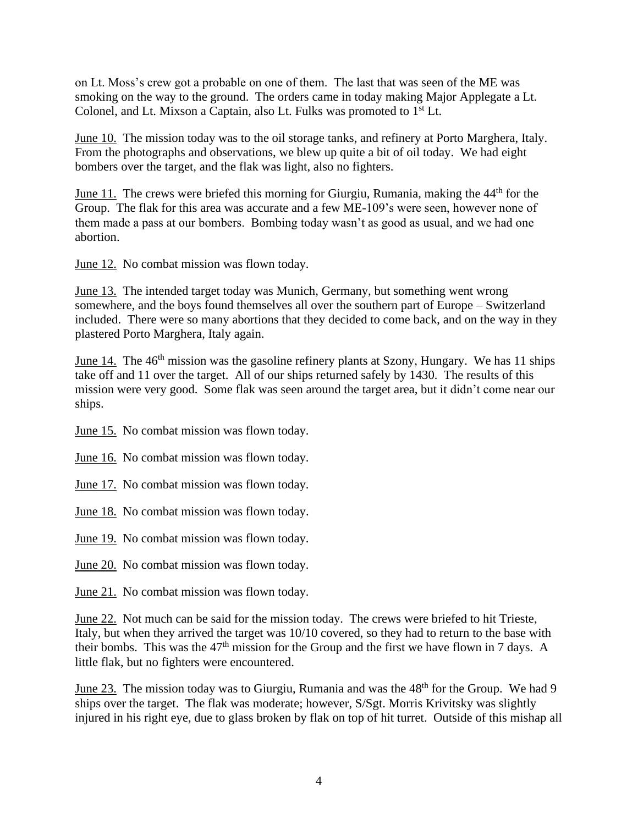on Lt. Moss's crew got a probable on one of them. The last that was seen of the ME was smoking on the way to the ground. The orders came in today making Major Applegate a Lt. Colonel, and Lt. Mixson a Captain, also Lt. Fulks was promoted to 1<sup>st</sup> Lt.

June 10. The mission today was to the oil storage tanks, and refinery at Porto Marghera, Italy. From the photographs and observations, we blew up quite a bit of oil today. We had eight bombers over the target, and the flak was light, also no fighters.

June 11. The crews were briefed this morning for Giurgiu, Rumania, making the 44<sup>th</sup> for the Group. The flak for this area was accurate and a few ME-109's were seen, however none of them made a pass at our bombers. Bombing today wasn't as good as usual, and we had one abortion.

June 12. No combat mission was flown today.

June 13. The intended target today was Munich, Germany, but something went wrong somewhere, and the boys found themselves all over the southern part of Europe – Switzerland included. There were so many abortions that they decided to come back, and on the way in they plastered Porto Marghera, Italy again.

June 14. The  $46<sup>th</sup>$  mission was the gasoline refinery plants at Szony, Hungary. We has 11 ships take off and 11 over the target. All of our ships returned safely by 1430. The results of this mission were very good. Some flak was seen around the target area, but it didn't come near our ships.

June 15. No combat mission was flown today.

June 16. No combat mission was flown today.

June 17. No combat mission was flown today.

June 18. No combat mission was flown today.

June 19. No combat mission was flown today.

June 20. No combat mission was flown today.

June 21. No combat mission was flown today.

June 22. Not much can be said for the mission today. The crews were briefed to hit Trieste, Italy, but when they arrived the target was 10/10 covered, so they had to return to the base with their bombs. This was the  $47<sup>th</sup>$  mission for the Group and the first we have flown in 7 days. A little flak, but no fighters were encountered.

June 23. The mission today was to Giurgiu, Rumania and was the 48<sup>th</sup> for the Group. We had 9 ships over the target. The flak was moderate; however, S/Sgt. Morris Krivitsky was slightly injured in his right eye, due to glass broken by flak on top of hit turret. Outside of this mishap all